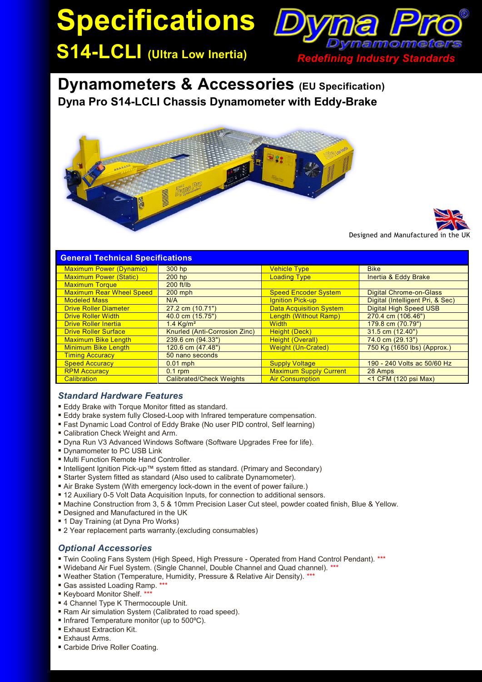# **Specifications**



**Dynamometers & Accessories (EU Specification) Dyna Pro S14-LCLI Chassis Dynamometer with Eddy-Brake**





| <b>General Technical Specifications</b> |                                 |                                |                                  |
|-----------------------------------------|---------------------------------|--------------------------------|----------------------------------|
| <b>Maximum Power (Dynamic)</b>          | 300 hp                          | <b>Vehicle Type</b>            | <b>Bike</b>                      |
| <b>Maximum Power (Static)</b>           | $200$ hp                        | <b>Loading Type</b>            | <b>Inertia &amp; Eddy Brake</b>  |
| <b>Maximum Torque</b>                   | $200$ ft/lb                     |                                |                                  |
| <b>Maximum Rear Wheel Speed</b>         | $200$ mph                       | <b>Speed Encoder System</b>    | Digital Chrome-on-Glass          |
| <b>Modeled Mass</b>                     | N/A                             | <b>Ignition Pick-up</b>        | Digital (Intelligent Pri, & Sec) |
| <b>Drive Roller Diameter</b>            | 27.2 cm (10.71")                | <b>Data Acquisition System</b> | <b>Digital High Speed USB</b>    |
| <b>Drive Roller Width</b>               | 40.0 cm (15.75")                | Length (Without Ramp)          | 270.4 cm (106.46")               |
| <b>Drive Roller Inertia</b>             | $1.4$ Ka/m <sup>2</sup>         | <b>Width</b>                   | 179.8 cm (70.79")                |
| <b>Drive Roller Surface</b>             | Knurled (Anti-Corrosion Zinc)   | Height (Deck)                  | $31.5$ cm $(12.40")$             |
| <b>Maximum Bike Length</b>              | 239.6 cm (94.33")               | <b>Height (Overall)</b>        | $74.0$ cm $(29.13")$             |
| <b>Minimum Bike Length</b>              | 120.6 cm (47.48")               | <b>Weight (Un-Crated)</b>      | 750 Kg (1650 lbs) (Approx.)      |
| <b>Timing Accuracy</b>                  | 50 nano seconds                 |                                |                                  |
| <b>Speed Accuracy</b>                   | $0.01$ mph                      | <b>Supply Voltage</b>          | 190 - 240 Volts ac 50/60 Hz      |
| <b>RPM Accuracy</b>                     | $0.1$ rpm                       | <b>Maximum Supply Current</b>  | 28 Amps                          |
| <b>Calibration</b>                      | <b>Calibrated/Check Weights</b> | <b>Air Consumption</b>         | $<$ 1 CFM (120 psi Max)          |

## *Standard Hardware Features*

- **Eddy Brake with Torque Monitor fitted as standard.**
- Eddy brake system fully Closed-Loop with Infrared temperature compensation.
- Fast Dynamic Load Control of Eddy Brake (No user PID control, Self learning)
- Calibration Check Weight and Arm.
- Dyna Run V3 Advanced Windows Software (Software Upgrades Free for life).
- **Dynamometer to PC USB Link**
- **Multi Function Remote Hand Controller.**
- Intelligent Ignition Pick-up™ system fitted as standard. (Primary and Secondary)
- Starter System fitted as standard (Also used to calibrate Dynamometer).
- Air Brake System (With emergency lock-down in the event of power failure.)
- 12 Auxiliary 0-5 Volt Data Acquisition Inputs, for connection to additional sensors.
- Machine Construction from 3, 5 & 10mm Precision Laser Cut steel, powder coated finish, Blue & Yellow.
- Designed and Manufactured in the UK
- 1 Day Training (at Dyna Pro Works)
- 2 Year replacement parts warranty.(excluding consumables)

## *Optional Accessories*

- Twin Cooling Fans System (High Speed, High Pressure Operated from Hand Control Pendant). \*\*\*
- Wideband Air Fuel System. (Single Channel, Double Channel and Quad channel). \*\*\*
- Weather Station (Temperature, Humidity, Pressure & Relative Air Density). \*\*\*
- Gas assisted Loading Ramp. \*
- Keyboard Monitor Shelf. \*\*\*
- 4 Channel Type K Thermocouple Unit.
- Ram Air simulation System (Calibrated to road speed).
- Infrared Temperature monitor (up to 500°C).
- **Exhaust Extraction Kit.**
- **Exhaust Arms.**
- Carbide Drive Roller Coating.